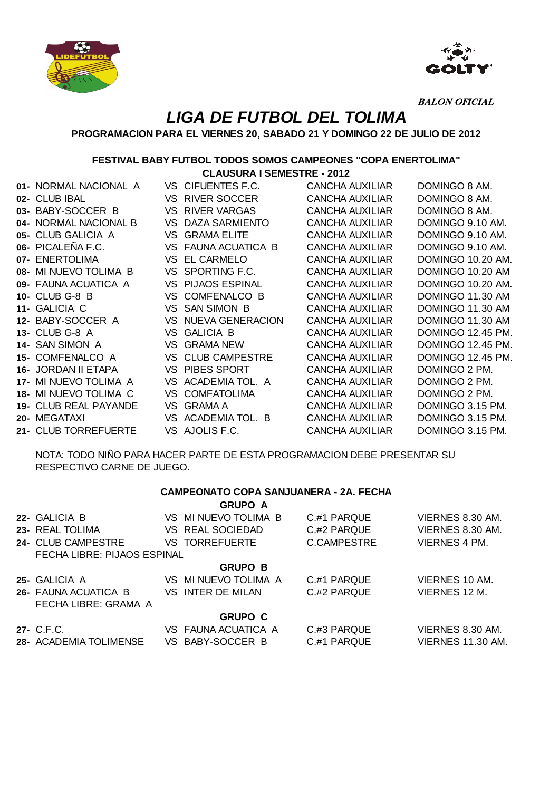



BALON OFICIAL

## **LIGA DE FUTBOL DEL TOLIMA**

## **PROGRAMACION PARA EL VIERNES 20, SABADO 21 Y DOMINGO 22 DE JULIO DE 2012**

## **FESTIVAL BABY FUTBOL TODOS SOMOS CAMPEONES "COPA ENERTOLIMA"**

**CLAUSURA I SEMESTRE - 2012**

| 01- NORMAL NACIONAL A |     | VS CIFUENTES F.C.       | CANCHA AUXILIAR        | DOMINGO 8 AM.     |
|-----------------------|-----|-------------------------|------------------------|-------------------|
| 02- CLUB IBAL         | VS. | <b>RIVER SOCCER</b>     | CANCHA AUXILIAR        | DOMINGO 8 AM.     |
| 03- BABY-SOCCER B     | VS  | <b>RIVER VARGAS</b>     | CANCHA AUXILIAR        | DOMINGO 8 AM.     |
| 04- NORMAL NACIONAL B | VS  | <b>DAZA SARMIENTO</b>   | CANCHA AUXILIAR        | DOMINGO 9.10 AM.  |
| 05- CLUB GALICIA A    | VS  | <b>GRAMA ELITE</b>      | <b>CANCHA AUXILIAR</b> | DOMINGO 9.10 AM.  |
| 06- PICALEÑA F.C.     | VS  | <b>FAUNA ACUATICA B</b> | <b>CANCHA AUXILIAR</b> | DOMINGO 9.10 AM.  |
| 07- ENERTOLIMA        | VS  | <b>EL CARMELO</b>       | <b>CANCHA AUXILIAR</b> | DOMINGO 10.20 AM. |
| 08- MI NUEVO TOLIMA B | VS  | SPORTING F.C.           | <b>CANCHA AUXILIAR</b> | DOMINGO 10.20 AM  |
| 09- FAUNA ACUATICA A  | VS  | PIJAOS ESPINAL          | CANCHA AUXILIAR        | DOMINGO 10.20 AM. |
| <b>10- CLUB G-8 B</b> | VS. | <b>COMFENALCO B</b>     | <b>CANCHA AUXILIAR</b> | DOMINGO 11.30 AM  |
| 11- GALICIA C         | VS. | <b>SAN SIMON B</b>      | <b>CANCHA AUXILIAR</b> | DOMINGO 11.30 AM  |
| 12- BABY-SOCCER A     | VS. | NUEVA GENERACION        | CANCHA AUXILIAR        | DOMINGO 11.30 AM  |
| 13- CLUB G-8 A        | VS. | <b>GALICIA B</b>        | CANCHA AUXILIAR        | DOMINGO 12.45 PM. |
| 14- SAN SIMON A       | VS  | <b>GRAMA NEW</b>        | CANCHA AUXILIAR        | DOMINGO 12.45 PM. |
| 15- COMFENALCO A      | VS  | <b>CLUB CAMPESTRE</b>   | CANCHA AUXILIAR        | DOMINGO 12.45 PM. |
| 16- JORDAN II ETAPA   | VS  | PIBES SPORT             | <b>CANCHA AUXILIAR</b> | DOMINGO 2 PM.     |
| 17- MI NUEVO TOLIMA A | VS. | ACADEMIA TOL. A         | CANCHA AUXILIAR        | DOMINGO 2 PM.     |
| 18- MI NUEVO TOLIMA C | VS. | <b>COMFATOLIMA</b>      | CANCHA AUXILIAR        | DOMINGO 2 PM.     |
| 19- CLUB REAL PAYANDE | VS. | <b>GRAMA A</b>          | <b>CANCHA AUXILIAR</b> | DOMINGO 3.15 PM.  |
| 20- MEGATAXI          |     | VS ACADEMIA TOL. B      | <b>CANCHA AUXILIAR</b> | DOMINGO 3.15 PM.  |

NOTA: TODO NIÑO PARA HACER PARTE DE ESTA PROGRAMACION DEBE PRESENTAR SU RESPECTIVO CARNE DE JUEGO.

**21-** CLUB TORREFUERTE VS AJOLIS F.C. CANCHA AUXILIAR DOMINGO 3.15 PM.

|                             | <b>CAMPEONATO COPA SANJUANERA - 2A. FECHA</b><br><b>GRUPO A</b> |               |                      |
|-----------------------------|-----------------------------------------------------------------|---------------|----------------------|
| 22- GALICIA B               | VS MINUEVO TOLIMA B                                             | C.#1 PARQUE   | VIERNES 8.30 AM.     |
| 23- REAL TOLIMA             | VS REAL SOCIEDAD                                                | C #2 PARQUE   | VIERNES 8.30 AM.     |
| 24- CLUB CAMPESTRE          | <b>VS TORREFUERTE</b>                                           | C.CAMPESTRE   | <b>VIERNES 4 PM.</b> |
| FECHA LIBRE: PIJAOS ESPINAL |                                                                 |               |                      |
|                             | <b>GRUPO B</b>                                                  |               |                      |
| 25- GALICIA A               | VS MINUEVO TOLIMA A                                             | C.#1 PARQUE   | VIERNES 10 AM.       |
| 26- FAUNA ACUATICA B        | VS INTER DE MILAN                                               | $C$ #2 PARQUE | VIERNES 12 M.        |
| FECHA LIBRE: GRAMA A        |                                                                 |               |                      |
|                             | <b>GRUPO C</b>                                                  |               |                      |
| 27- C.F.C.                  | VS FAUNA ACUATICA A                                             | C.#3 PARQUE   | VIERNES 8.30 AM.     |
| 28- ACADEMIA TOLIMENSE      | VS BABY-SOCCER B                                                | C.#1 PARQUE   | VIERNES 11.30 AM.    |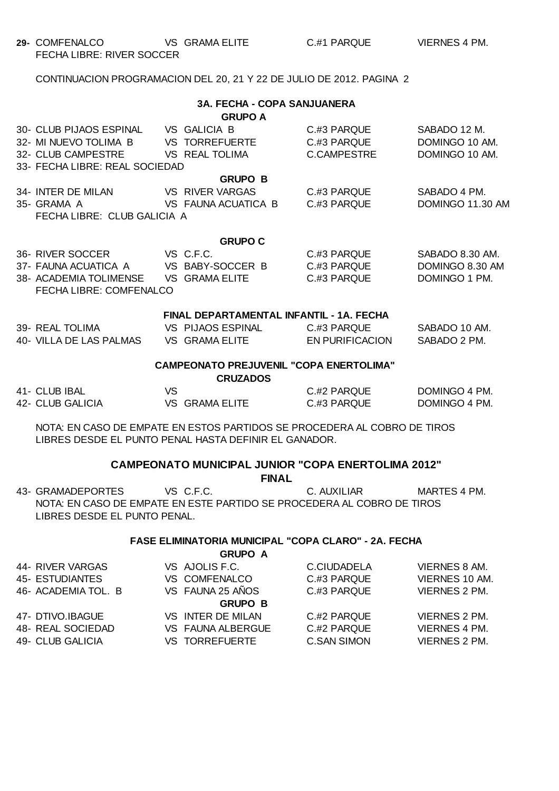**29-** COMFENALCO VS GRAMA ELITE C.#1 PARQUE VIERNES 4 PM. FECHA LIBRE: RIVER SOCCER

LIBRES DESDE EL PUNTO PENAL.

CONTINUACION PROGRAMACION DEL 20, 21 Y 22 DE JULIO DE 2012. PAGINA 2

| <b>3A. FECHA - COPA SANJUANERA</b><br><b>GRUPO A</b>                      |                                                                                                                                                     |  |                                          |                                           |                                                     |  |
|---------------------------------------------------------------------------|-----------------------------------------------------------------------------------------------------------------------------------------------------|--|------------------------------------------|-------------------------------------------|-----------------------------------------------------|--|
|                                                                           | 30- CLUB PIJAOS ESPINAL VS GALICIA B<br>32- MI NUEVO TOLIMA B VS TORREFUERTE<br>32- CLUB CAMPESTRE VS REAL TOLIMA<br>33- FECHA LIBRE: REAL SOCIEDAD |  |                                          | C.#3 PARQUE<br>C #3 PARQUE<br>C.CAMPESTRE | SABADO 12 M.<br>DOMINGO 10 AM.<br>DOMINGO 10 AM.    |  |
|                                                                           |                                                                                                                                                     |  | <b>GRUPO B</b>                           |                                           |                                                     |  |
|                                                                           | 34- INTER DE MILAN VS RIVER VARGAS<br>35- GRAMA A<br>FECHA LIBRE: CLUB GALICIA A                                                                    |  | VS FAUNA ACUATICA B                      | C.#3 PARQUE<br>C.#3 PARQUE                | SABADO 4 PM.<br>DOMINGO 11.30 AM                    |  |
|                                                                           |                                                                                                                                                     |  | <b>GRUPO C</b>                           |                                           |                                                     |  |
|                                                                           | 36- RIVER SOCCER VS C.F.C.<br>37- FAUNA ACUATICA A VS BABY-SOCCER B<br>38- ACADEMIA TOLIMENSE VS GRAMA ELITE<br>FECHA LIBRE: COMFENALCO             |  |                                          | C.#3 PARQUE<br>C #3 PARQUE<br>C.#3 PARQUE | SABADO 8.30 AM.<br>DOMINGO 8.30 AM<br>DOMINGO 1 PM. |  |
|                                                                           |                                                                                                                                                     |  | FINAL DEPARTAMENTAL INFANTIL - 1A, FECHA |                                           |                                                     |  |
|                                                                           | 39- REAL TOLIMA VS PIJAOS ESPINAL C.#3 PARQUE<br>40- VILLA DE LAS PALMAS VS GRAMA ELITE EN PURIFICACION                                             |  |                                          |                                           | SABADO 10 AM.<br>SABADO 2 PM.                       |  |
| <b>CAMPEONATO PREJUVENIL "COPA ENERTOLIMA"</b><br><b>CRUZADOS</b>         |                                                                                                                                                     |  |                                          |                                           |                                                     |  |
|                                                                           | 41- CLUB IBAL<br><b>VS</b><br>42- CLUB GALICIA                                                                                                      |  | VS GRAMA ELITE                           | C.#2 PARQUE DOMINGO 4 PM.<br>C.#3 PARQUE  | DOMINGO 4 PM.                                       |  |
|                                                                           | NOTA: EN CASO DE EMPATE EN ESTOS PARTIDOS SE PROCEDERA AL COBRO DE TIROS<br>LIBRES DESDE EL PUNTO PENAL HASTA DEFINIR EL GANADOR.                   |  |                                          |                                           |                                                     |  |
| <b>CAMPEONATO MUNICIPAL JUNIOR "COPA ENERTOLIMA 2012"</b><br><b>FINAL</b> |                                                                                                                                                     |  |                                          |                                           |                                                     |  |
|                                                                           | VS C.F.C.<br>43- GRAMADEPORTES<br>NOTA: EN CASO DE EMPATE EN ESTE PARTIDO SE PROCEDERA AL COBRO DE TIROS                                            |  |                                          | C. AUXILIAR                               | MARTES 4 PM.                                        |  |

**FASE ELIMINATORIA MUNICIPAL "COPA CLARO" - 2A. FECHA**

|                     | <b>GRUPO A</b>        |                    |                      |  |  |  |
|---------------------|-----------------------|--------------------|----------------------|--|--|--|
| 44- RIVER VARGAS    | VS AJOLIS F.C.        | <b>C.CIUDADELA</b> | <b>VIERNES 8 AM.</b> |  |  |  |
| 45- ESTUDIANTES     | <b>VS COMFENALCO</b>  | C.#3 PARQUE        | VIERNES 10 AM.       |  |  |  |
| 46- ACADEMIA TOL. B | VS FAUNA 25 AÑOS      | C.#3 PARQUE        | VIERNES 2 PM.        |  |  |  |
| <b>GRUPO B</b>      |                       |                    |                      |  |  |  |
| 47- DTIVO.IBAGUE    | VS INTER DE MILAN     | C.#2 PARQUE        | VIERNES 2 PM.        |  |  |  |
| 48- REAL SOCIEDAD   | VS FAUNA ALBERGUE     | C.#2 PARQUE        | VIERNES 4 PM.        |  |  |  |
| 49- CLUB GALICIA    | <b>VS TORREFUERTE</b> | <b>C.SAN SIMON</b> | <b>VIERNES 2 PM.</b> |  |  |  |
|                     |                       |                    |                      |  |  |  |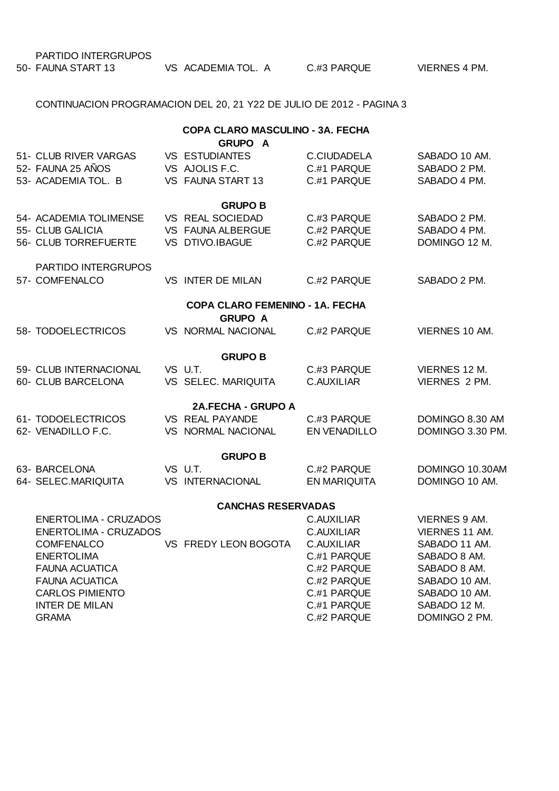PARTIDO INTERGRUPOS

| 50- FAUNA START 13 | VS ACADEMIA TOL. A | C.#3 PARQUE | <b>VIERNES 4 PM.</b> |
|--------------------|--------------------|-------------|----------------------|
|                    |                    |             |                      |

CONTINUACION PROGRAMACION DEL 20, 21 Y22 DE JULIO DE 2012 - PAGINA 3

## **COPA CLARO MASCULINO - 3A. FECHA**

|                              | <b>GRUPO A</b>                  |                     |                      |
|------------------------------|---------------------------------|---------------------|----------------------|
| 51- CLUB RIVER VARGAS        | <b>VS ESTUDIANTES</b>           | C.CIUDADELA         | SABADO 10 AM.        |
| 52- FAUNA 25 AÑOS            | VS AJOLIS F.C.                  | C #1 PARQUE         | SABADO 2 PM.         |
| 53- ACADEMIA TOL. B          | VS FAUNA START 13               | C.#1 PARQUE         | SABADO 4 PM.         |
|                              | <b>GRUPO B</b>                  |                     |                      |
| 54- ACADEMIA TOLIMENSE       | VS REAL SOCIEDAD                | C.#3 PARQUE         | SABADO 2 PM.         |
| 55- CLUB GALICIA             | VS FAUNA ALBERGUE               | C #2 PARQUE         | SABADO 4 PM.         |
| 56- CLUB TORREFUERTE         | VS DTIVO.IBAGUE                 | C.#2 PARQUE         | DOMINGO 12 M.        |
| PARTIDO INTERGRUPOS          |                                 |                     |                      |
| 57- COMFENALCO               | VS INTER DE MILAN               | C #2 PARQUE         | SABADO 2 PM.         |
|                              | COPA CLARO FEMENINO - 1A. FECHA |                     |                      |
|                              | <b>GRUPO A</b>                  |                     |                      |
| 58- TODOELECTRICOS           | VS NORMAL NACIONAL              | C.#2 PARQUE         | VIERNES 10 AM.       |
|                              | <b>GRUPO B</b>                  |                     |                      |
| 59- CLUB INTERNACIONAL       | VS U.T.                         | C.#3 PARQUE         | VIERNES 12 M.        |
| 60- CLUB BARCELONA           | VS SELEC. MARIQUITA             | C.AUXILIAR          | VIERNES 2 PM.        |
|                              | 2A.FECHA - GRUPO A              |                     |                      |
| 61- TODOELECTRICOS           | VS REAL PAYANDE                 | C #3 PARQUE         | DOMINGO 8.30 AM      |
| 62- VENADILLO F.C.           | VS NORMAL NACIONAL              | EN VENADILLO        | DOMINGO 3.30 PM.     |
|                              | <b>GRUPO B</b>                  |                     |                      |
| 63- BARCELONA                | VS U.T.                         | C #2 PARQUE         | DOMINGO 10.30AM      |
| 64- SELEC.MARIQUITA          | <b>VS INTERNACIONAL</b>         | <b>EN MARIQUITA</b> | DOMINGO 10 AM.       |
|                              | <b>CANCHAS RESERVADAS</b>       |                     |                      |
| <b>ENERTOLIMA - CRUZADOS</b> |                                 | <b>C.AUXILIAR</b>   | <b>VIERNES 9 AM.</b> |
| <b>ENERTOLIMA - CRUZADOS</b> |                                 | <b>C.AUXILIAR</b>   | VIERNES 11 AM.       |
| <b>COMFENALCO</b>            | VS FREDY LEON BOGOTA            | C.AUXILIAR          | SABADO 11 AM.        |
| <b>ENERTOLIMA</b>            |                                 | C.#1 PARQUE         | SABADO 8 AM.         |
| <b>FAUNA ACUATICA</b>        |                                 | C.#2 PARQUE         | SABADO 8 AM.         |
| <b>FAUNA ACUATICA</b>        |                                 | C #2 PARQUE         | SABADO 10 AM.        |
| <b>CARLOS PIMIENTO</b>       |                                 | C.#1 PARQUE         | SABADO 10 AM.        |
| <b>INTER DE MILAN</b>        |                                 | C.#1 PARQUE         | SABADO 12 M.         |
| <b>GRAMA</b>                 |                                 | C.#2 PARQUE         | DOMINGO 2 PM.        |